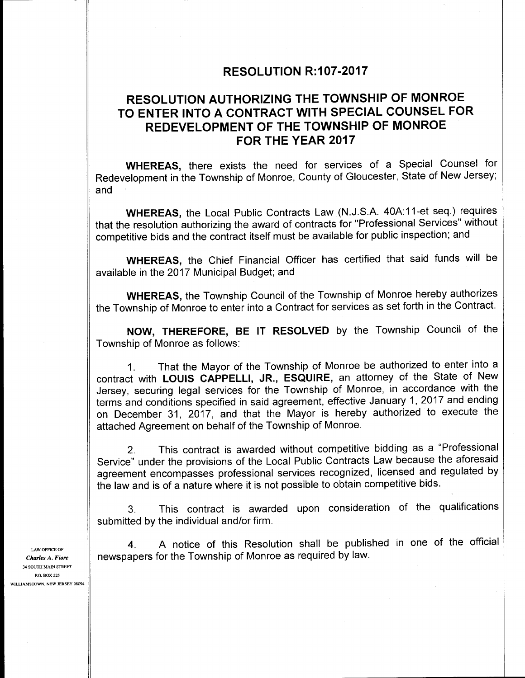### RESOLUTION R: 107-2017

# RESOLUTION AUTHORIZING THE TOWNSHIP OF MONROE TO ENTER INTO A CONTRACT WITH SPECIAL COUNSEL FOR REDEVELOPMENT OF THE TOWNSHIP OF MONROE FOR THE YEAR 2017

WHEREAS, there exists the need for services of a Special Counsel for Redevelopment in the Township of Monroe, County of Gloucester, State of New Jersey; and

WHEREAS, the Local Public Contracts Law (N.J.S.A. 40A:11-et seq.) requires that the resolution authorizing the award of contracts for "Professional Services" without competitive bids and the contract itself must be available for public inspection; and

WHEREAS, the Chief Financial Officer has certified that said funds will be available in the 2017 Municipal Budget; and

WHEREAS, the Township Council of the Township of Monroe hereby authorizes the Township of Monroe to enter into a Contract for services as set forth in the Contract.

NOW, THEREFORE, BE IT RESOLVED by the Township Council of the Township of Monroe as follows:

1. That the Mayor of the Township of Monroe be authorized to enter into a contract with LOUIS CAPPELLI, JR., ESQUIRE, an attorney of the State of New Jersey, securing legal services for the Township of Monroe, in accordance with the terms and conditions specified in said agreement, effective January 1, 2017 and ending on December 31, 2017, and that the Mayor is hereby authorized to execute the attached Agreement on behalf of the Township of Monroe.

2. This contract is awarded without competitive bidding as a "Professional Service" under the provisions of the Local Public Contracts Law because the aforesaid agreement encompasses professional services recognized, licensed and regulated by the law and is of a nature where it is not possible to obtain competitive bids.

3. This contract is awarded upon consideration of the qualifications submitted by the individual and/or firm.

4. A notice of this Resolution shall be published in one of the official Charles A. Fiore  $\|\cdot\|$  newspapers for the Township of Monroe as required by law.

LAW OFFICE OF 34 SOUTH MAIN STREET P.O. BOX 525 WILLIAMSTOWN, NEW JERSEY 08094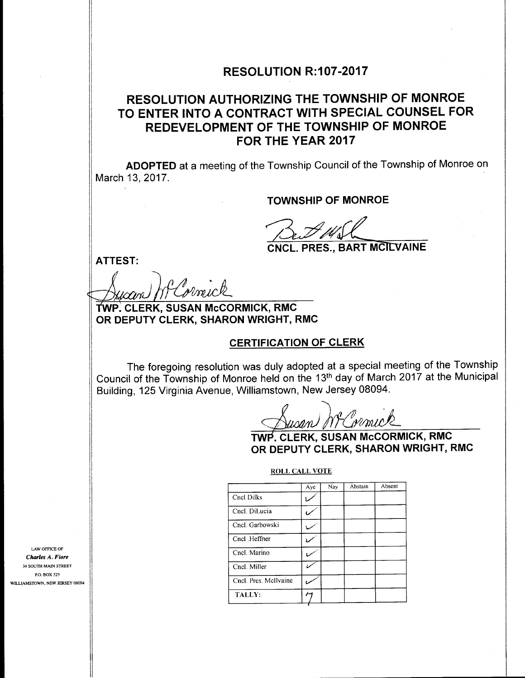#### RESOLUTION R:107-2017

# RESOLUTION AUTHORIZING THE TOWNSHIP OF MONROE TO ENTER INTO A CONTRACT WITH SPECIAL COUNSEL FOR REDEVELOPMENT OF THE TOWNSHIP OF MONROE FOR THE YEAR 2017

ADOPTED at a meeting of the Township Council of the Township of Monroe on March 13, 2017.

TOWNSHIP OF MONROE

**CNCL. PRES., BART MCILVAINE** 

ATTEST:

 $\cdots$ 

a 10 mick

TWP. CLERK, SUSAN McCORMICK, RMC OR DEPUTY CLERK, SHARON WRIGHT, RMC

#### CERTIFICATION OF CLERK

The foregoing resolution was duly adopted at a special meeting of the Township Council of the Township of Monroe held on the 13th day of March <sup>2017</sup> at the Municipal Building, 125 Virginia Avenue, Williamstown, New Jersey 08094.

usan) NF Cormic

TWP. CLERK, SUSAN McCORMICK, RMC OR DEPUTY CLERK, SHARON WRIGHT, RMC

#### ROLL CALL VOTE

|                              |  |                       | Aye            | Nay | Abstain | Absent |
|------------------------------|--|-----------------------|----------------|-----|---------|--------|
|                              |  | Cncl Dilks            |                |     |         |        |
|                              |  | Cncl. DiLucia         | U              |     |         |        |
|                              |  | Cncl. Garbowski       | مده            |     |         |        |
|                              |  | Cncl .Heffner         | ممسا           |     |         |        |
| E OF<br>Fiore                |  | Cncl. Marino          |                |     |         |        |
| <b>STREET</b>                |  | Cncl. Miller          | ممرج           |     |         |        |
| 525<br><b>V JERSEY 08094</b> |  | Cncl. Pres. McIlvaine | مرہ            |     |         |        |
|                              |  | TALLY:                | $\overline{r}$ |     |         |        |

LAW OFFICE OF Charles A. 34 SOUTH MAIN STREET P.O. BOX 525 WILLIAMSTOWN, NEW JERSEY 08094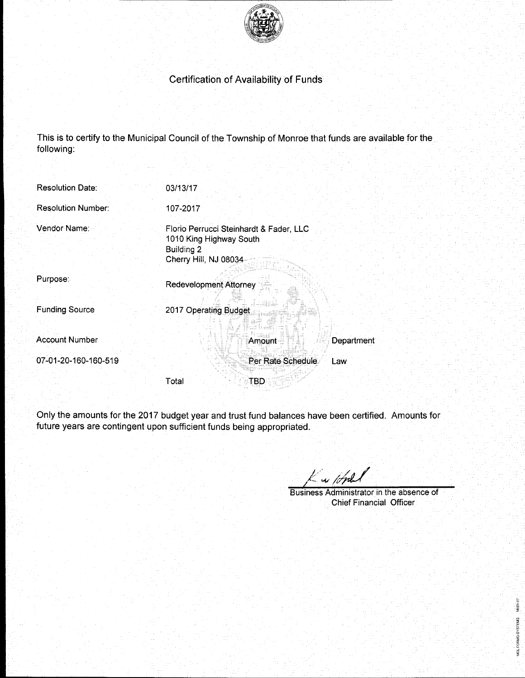

## Certification of Availability of Funds

This is to certify to the Municipal Council of the Township of Monroe that funds are available for the following:

| <b>Resolution Date:</b>   | 03/13/17                                                                                                  |            |
|---------------------------|-----------------------------------------------------------------------------------------------------------|------------|
| <b>Resolution Number:</b> | 107-2017                                                                                                  |            |
| Vendor Name:              | Florio Perrucci Steinhardt & Fader, LLC<br>1010 King Highway South<br>Building 2<br>Cherry Hill, NJ 08034 |            |
| Purpose:                  | <b>Redevelopment Attorney</b>                                                                             |            |
| <b>Funding Source</b>     | 2017 Operating Budget                                                                                     |            |
| <b>Account Number</b>     | Amount                                                                                                    | Department |
| 07-01-20-160-160-519      | Per Rate Schedule                                                                                         | Law        |
|                           | Total<br><b>TBD</b>                                                                                       |            |

Only the amounts for the 2017 budget year and trust fund balances have been certified. Amounts for future years are contingent upon sufficient funds being appropriated.

Kw lope

Business Administrator in the absence of Chief Financial Officer

MGL FORMS-SYSTEMS MO91-07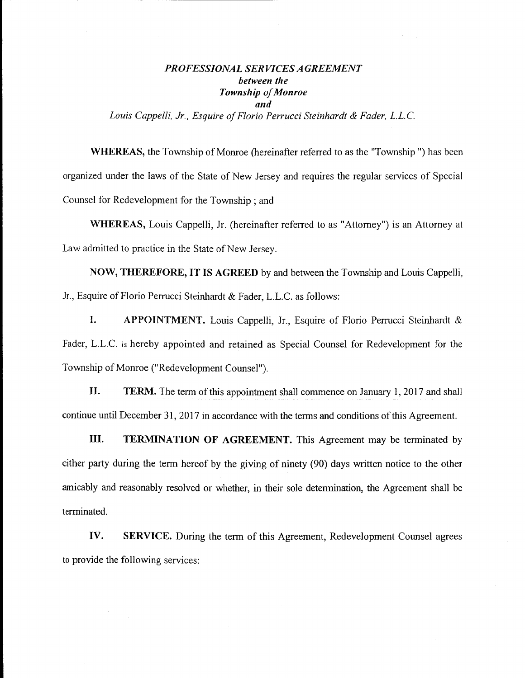#### PROFESSIONAL SERVICES AGREEMENT between the Township of Monroe and Louis Cappelli, Jr., Esquire of Florio Perrucci Steinhardt & Fader, L.L.C.

WHEREAS, the Township of Monroe (hereinafter referred to as the "Township") has been organized under the laws of the State of New Jersey and requires the regular services of Special Counsel for Redevelopment for the Township ; and

WHEREAS, Louis Cappelli, Jr. (hereinafter referred to as "Attorney") is an Attorney at Law admitted to practice in the State of New Jersey.

NOW, THEREFORE, IT IS AGREED by and between the Township and Louis Cappelli, Jr., Esquire of Florio Perrucci Steinhardt & Fader, L.L.C. as follows:

I. APPOINTMENT. Louis Cappelli, Jr., Esquire of Florio Perrucci Steinhardt & Fader, L.L.C. is hereby appointed and retained as Special Counsel for Redevelopment for the Township of Monroe ("Redevelopment Counsel").

II. TERM. The term of this appointment shall commence on January 1, 2017 and shall continue until December 31, 2017 in accordance with the terms and conditions of this Agreement.

III. TERMINATION OF AGREEMENT. This Agreement may be terminated by either party during the term hereof by the giving of ninety (90) days written notice to the other amicably and reasonably resolved or whether, in their sole determination, the Agreement shall be terminated.

IV. SERVICE. During the term of this Agreement, Redevelopment Counsel agrees to provide the following services: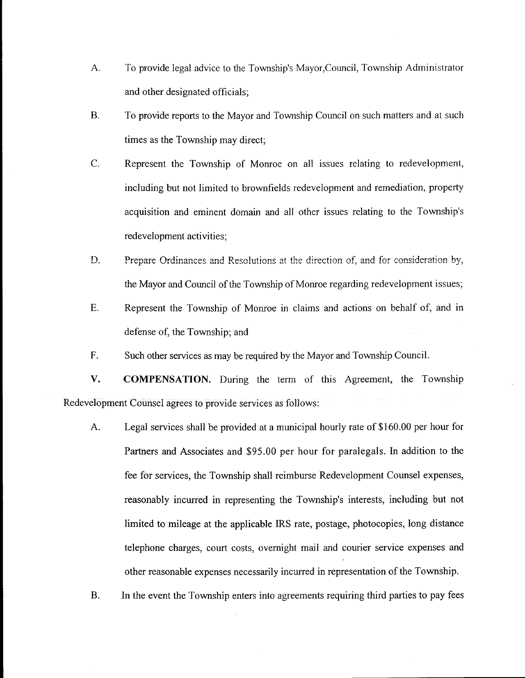- A. To provide legal advice to the Township's Mayor,Council, Township Administrator and other designated officials;
- B. To provide reports to the Mayor and Township Council on such matters and at such times as the Township may direct;
- C. Represent the Township of Monroe on all issues relating to redevelopment, including but not limited to brownfields redevelopment and remediation, property acquisition and eminent domain and all other issues relating to the Township's redevelopment activities;
- D. Prepare Ordinances and Resolutions at the direction of, and for consideration by, the Mayor and Council of the Township of Monroe regarding redevelopment issues;
- E. Represent the Township of Monroe in claims and actions on behalf of, and in defense of, the Township; and
- F. Such other services as may be required by the Mayor and Township Council.

V. COMPENSATION. During the term of this Agreement, the Township Redevelopment Counsel agrees to provide services as follows:

- A. Legal services shall be provided at a municipal hourly rate of \$160.00 per hour for Partners and Associates and \$95.00 per hour for paralegals. In addition to the fee for services, the Township shall reimburse Redevelopment Counsel expenses, reasonably incurred in representing the Township's interests, including but not limited to mileage at the applicable IRS rate, postage, photocopies, long distance telephone charges, court costs, overnight mail and courier service expenses and other reasonable expenses necessarily incurred in representation of the Township.
- B. In the event the Township enters into agreements requiring third parties to pay fees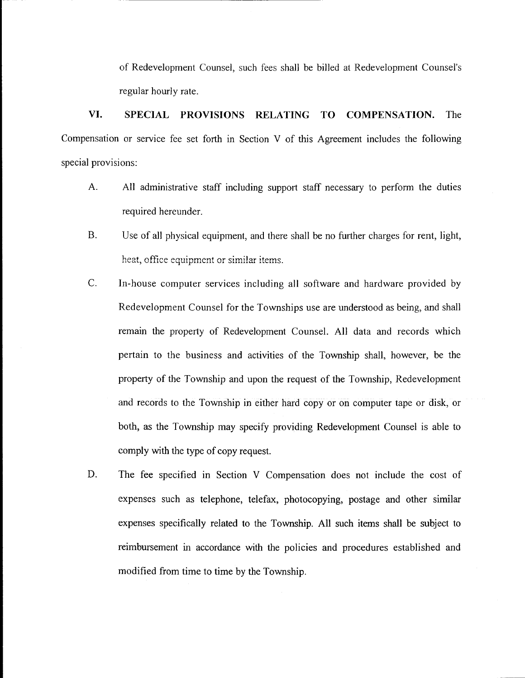of Redevelopment Counsel, such fees shall be billed at Redevelopment Counsel's regular hourly rate.

VI. SPECIAL PROVISIONS RELATING TO COMPENSATION. The Compensation or service fee set forth in Section V of this Agreement includes the following special provisions:

- A. All administrative staff including support staff necessary to perform the duties required hereunder.
- B. Use of all physical equipment, and there shall be no further charges for rent, light, heat, office equipment or similar items.
- C. In-house computer services including all software and hardware provided by Redevelopment Counsel for the Townships use are understood as being, and shall remain the property of Redevelopment Counsel. All data and records which pertain to the business and activities of the Township shall, however, be the property of the Township and upon the request of the Township, Redevelopment and records to the Township in either hard copy or on computer tape or disk, or both, as the Township may specify providing Redevelopment Counsel is able to comply with the type of copy request.
- D. The fee specified in Section V Compensation does not include the cost of expenses such as telephone, telefax, photocopying, postage and other similar expenses specifically related to the Township. All such items shall be subject to reimbursement in accordance with the policies and procedures established and modified from time to time by the Township.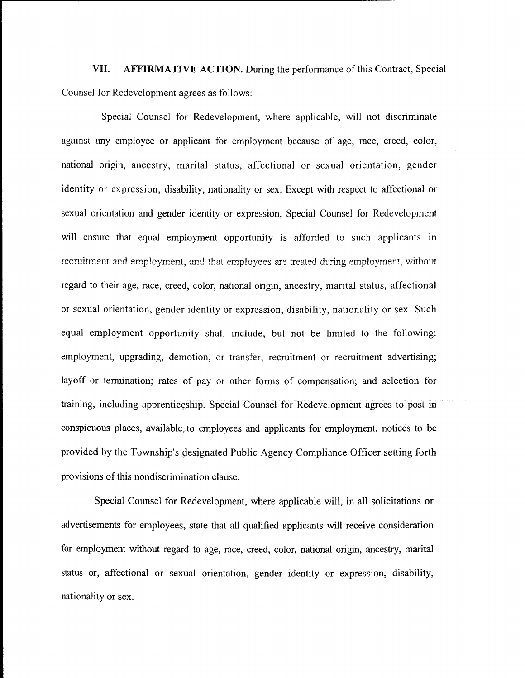VII. AFFIRMATIVE ACTION. During the performance of this Contract, Special Counsel for Redevelopment agrees as follows:

Special Counsel for Redevelopment, where applicable, will not discriminate against any employee or applicant for employment because of age, race, creed, color, national origin, ancestry, marital status, affectional or sexual orientation, gender identity or expression, disability, nationality or sex. Except with respect to affectional or sexual orientation and gender identity or expression, Special Counsel for Redevelopment will ensure that equal employment opportunity is afforded to such applicants in recruitment and employment, and that employees are treated during employment, without regard to their age, race, creed, color, national origin, ancestry, marital status, affectional or sexual orientation, gender identity or expression, disability, nationality or sex. Such equal employment opportunity shall include, but not be limited to the following: employment, upgrading, demotion, or transfer; recruitment or recruitment advertising; layoff or termination; rates of pay or other forms of compensation; and selection for training, including apprenticeship. Special Counsel for Redevelopment agrees to post in conspicuous places, available\_to employees and applicants for employment, notices to be provided by the Township's designated Public Agency Compliance Officer setting forth provisions of this nondiscrimination clause.

Special Counsel for Redevelopment, where applicable will, in all solicitations or advertisements for employees, state that all qualified applicants will receive consideration for employment without regard to age, race, creed, color, national origin, ancestry, marital status or, affectional or sexual orientation, gender identity or expression, disability, nationality or sex.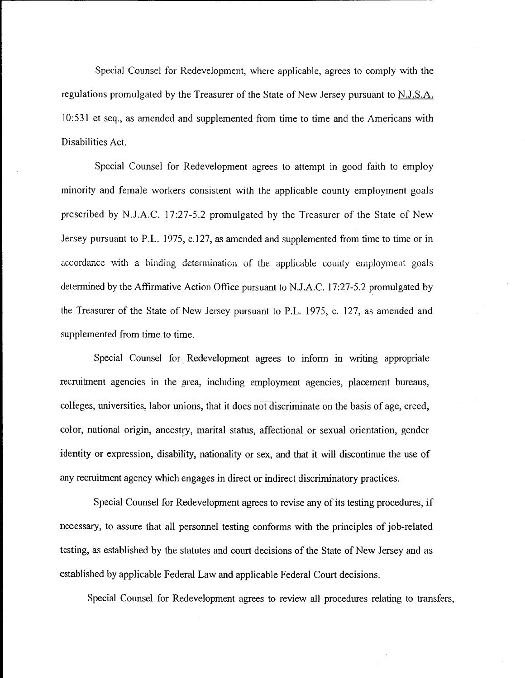Special Counsel for Redevelopment, where applicable, agrees to comply with the regulations promulgated by the Treasurer of the State of New Jersey pursuant to N.J.S.A. 10: 531 et seq., as amended and supplemented from time to time and the Americans with Disabilities Act.

Special Counsel for Redevelopment agrees to attempt in good faith to employ minority and female workers consistent with the applicable county employment goals prescribed by N.J.A.C. 17:27-5.2 promulgated by the Treasurer of the State of New Jersey pursuant to P.L. 1975, c. 127, as amended and supplemented from time to time or in accordance with <sup>a</sup> binding determination of the applicable county employment goals determined by the Affirmative Action Office pursuant to N.J.A.C. 17:27-5.2 promulgated by the Treasurer of the State of New Jersey pursuant to P.L. 1975, c. 127, as amended and supplemented from time to time.

Special Counsel for Redevelopment agrees to inform in writing appropriate recruitment agencies in the area, including employment agencies, placement bureaus, colleges, universities, labor unions, that it does not discriminate on the basis of age, creed, color, national origin, ancestry, marital status, affectional or sexual orientation, gender identity or expression, disability, nationality or sex, and that it will discontinue the use of any recruitment agency which engages in direct or indirect discriminatory practices.

Special Counsel for Redevelopment agrees to revise any of its testing procedures, if necessary, to assure that all personnel testing conforms with the principles of job-related testing, as established by the statutes and court decisions of the State of New Jersey and as established by applicable Federal Law and applicable Federal Court decisions.

Special Counsel for Redevelopment agrees to review all procedures relating to transfers,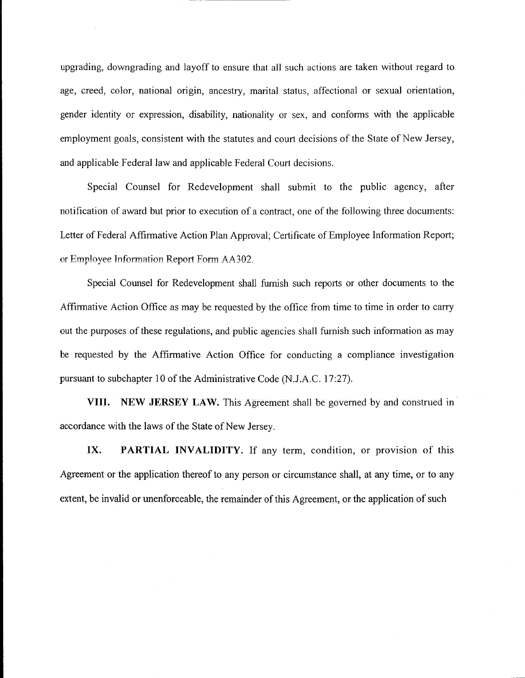upgrading, downgrading and layoff to ensure that all such actions are taken without regard to age, creed, color, national origin, ancestry, marital status, affectional or sexual orientation, gender identity or expression, disability, nationality or sex, and conforms with the applicable employment goals, consistent with the statutes and court decisions of the State of New Jersey, and applicable Federal law and applicable Federal Court decisions.

Special Counsel for Redevelopment shall submit to the public agency, after notification of award but prior to execution of <sup>a</sup> contract, one of the following three documents: Letter of Federal Affirmative Action Plan Approval; Certificate of Employee Information Report; or Employee Information Report Form AA302.

Special Counsel for Redevelopment shall furnish such reports or other documents to the Affirmative Action Office as may be requested by the office from time to time in order to carry out the purposes of these regulations, and public agencies shall furnish such information as may be requested by the Affirmative Action Office for conducting <sup>a</sup> compliance investigation pursuant to subchapter 10 of the Administrative Code (N.J.A.C. 17:27).

VIII. NEW JERSEY LAW. This Agreement shall be governed by and construed in accordance with the laws of the State of New Jersey.

IX. PARTIAL INVALIDITY. If any term, condition, or provision of this Agreement or the application thereof to any person or circumstance shall, at any time, or to any extent, be invalid or unenforceable, the remainder of this Agreement, or the application of such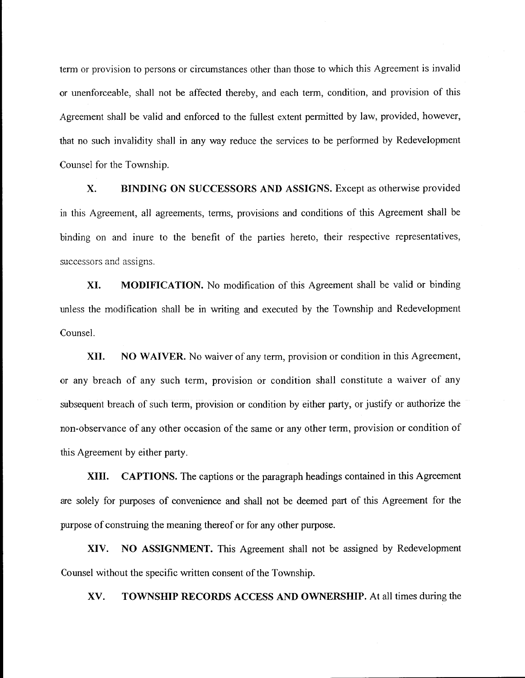term or provision to persons or circumstances other than those to which this Agreement is invalid or unenforceable, shall not be affected thereby, and each term, condition, and provision of this Agreement shall be valid and enforced to the fullest extent permitted by law, provided, however, that no such invalidity shall in any way reduce the services to be performed by Redevelopment Counsel for the Township.

X. BINDING ON SUCCESSORS AND ASSIGNS. Except as otherwise provided in this Agreement, all agreements, terms, provisions and conditions of this Agreement shall be binding on and inure to the benefit of the parties hereto, their respective representatives, successors and assigns.

XI. MODIFICATION. No modification of this Agreement shall be valid or binding unless the modification shall be in writing and executed by the Township and Redevelopment Counsel.

XII. NO WAIVER. No waiver of any term, provision or condition in this Agreement, or any breach of any such term, provision or condition shall constitute <sup>a</sup> waiver of any subsequent breach of such term, provision or condition by either party, or justify or authorize the non-observance of any other occasion of the same or any other term, provision or condition of this Agreement by either party.

XIII. CAPTIONS. The captions or the paragraph headings contained in this Agreement are solely for purposes of convenience and shall not be deemed part of this Agreement for the purpose of construing the meaning thereof or for any other purpose.

XIV. NO ASSIGNMENT. This Agreement shall not be assigned by Redevelopment Counsel without the specific written consent of the Township.

XV. TOWNSHIP RECORDS ACCESS AND OWNERSHIP. At all times during the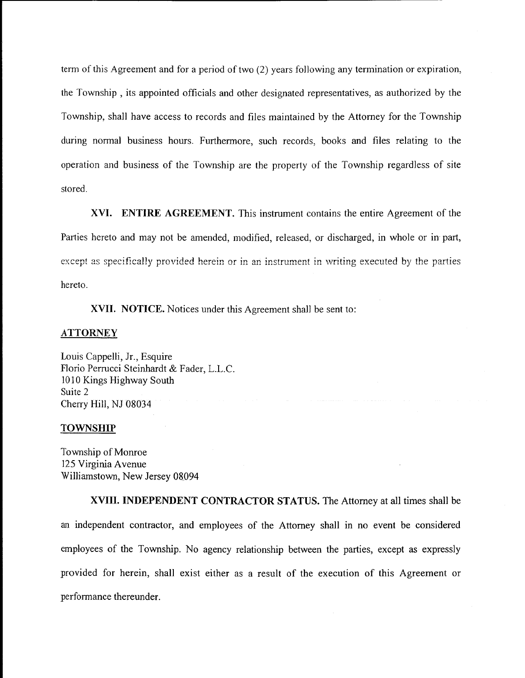term of this Agreement and for a period of two (2) years following any termination or expiration, the Township , its appointed officials and other designated representatives, as authorized by the Township, shall have access to records and files maintained by the Attorney for the Township during normal business hours. Furthermore, such records, books and files relating to the operation and business of the Township are the property of the Township regardless of site stored.

XVI. ENTIRE AGREEMENT. This instrument contains the entire Agreement of the Parties hereto and may not be amended, modified, released, or discharged, in whole or in part, except as specifically provided herein or in an instrument in writing executed by the parties hereto.

XVII. NOTICE. Notices under this Agreement shall be sent to:

#### ATTORNEY

Louis Cappelli, Jr., Esquire Florio Perrucci Steinhardt & Fader, L.L.C. 1010 Kings Highway South Suite 2 Cherry Hill, NJ 08034

#### **TOWNSHIP**

Township of Monroe 125 Virginia Avenue Williamstown, New Jersey 08094

XVIII. INDEPENDENT CONTRACTOR STATUS. The Attorney at all times shall be an independent contractor, and employees of the Attorney shall in no event be considered employees of the Township. No agency relationship between the parties, except as expressly provided for herein, shall exist either as <sup>a</sup> result of the execution of this Agreement or performance thereunder.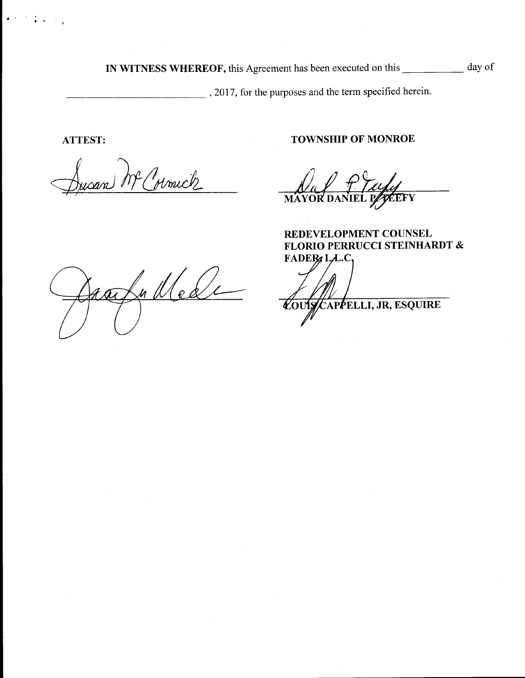IN WITNESS WHEREOF, this Agreement has been executed on this \_\_\_\_\_\_\_\_\_\_ day of

2017, for the purposes and the term specified herein.

íν  $\sim$   $\sim$ 

Mc Colmick

ATTEST: TOWNSHIP OF MONROE

NAY T-12949

REDEVELOPMENT COUNSEL FLORIO PERRUCCI STEINHARDT &

aalu Nede

 $FADEB, L.L.C,$ **Zouist** APPELLI, JR, ESQUIRE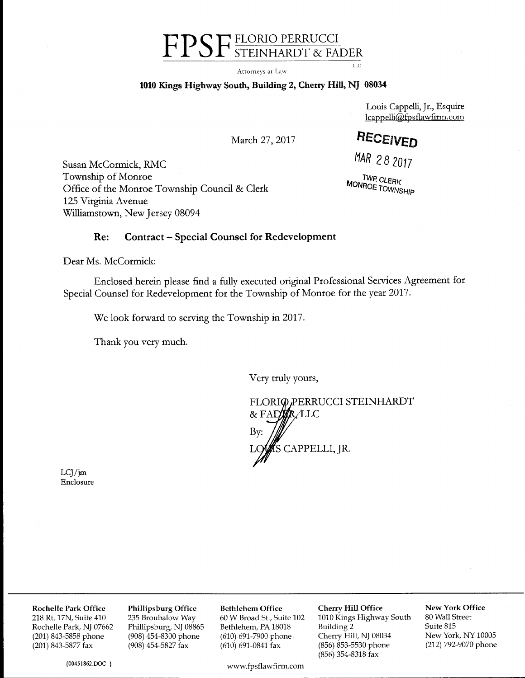# FPSF FLORIO PERRUCCI

Attorneys at Law

#### <sup>1010</sup> Kings Highway South, Building 2, Cherry Hill, NJ <sup>08034</sup>

Louis Cappelli, Jr., Esquire lcappelliQfps flawfirm.com

March 27, 2017 **HECEIVED** 

LLC

Susan McCormick, RMC MAR 28 2017 Township of Monroe<br>
The Monroe Township Council & Clerk<br>
The Monroe Township Council & Clerk<br>
The Monroe Township Office of the Monroe Township Council & Clerk 125 Virginia Avenue Williamstown, New Jersey 08094

#### Re: Contract— Special Counsel for Redevelopment

Dear Ms. McCormick:

Enclosed herein please find <sup>a</sup> fully executed original Professional Services Agreement for Special Counsel for Redevelopment for the Township of Monroe for the year 2017.

We look forward to serving the Township in 2017.

Thank you very much.

Very truly yours,

FLORIO PERRUCCI STEINHARDT  $\&$  FADER LLC  $\mathbf{B} \mathbf{y}$ : / L,/ <sup>S</sup> CAPPELLI, JR.

 $LCJ/m$ Enclosure

00451862.DOC }

Rochelle Park Office Phillipsburg Office Bethlehem Office Cherry Hill Office New York Office<br>218 Rt. 17N, Suite 410 235 Broubalow Way 60 W Broad St., Suite 102 1010 Kings Highway South 80 Wall Street

www.fpsflawfirm.com

218 Rt. 17N, Suite 410 235 Broubalow Way 60 W Broad St., Suite 102 1010 Kings Highway South 80 Wall Street Rochelle Park, NJ 07662 Phillipsburg, NJ 08865 Bethlehem, PA 18018 Building 2 Suite 815 Rochelle Park, NJ 07662 Phillipsburg, NJ 08865 Bethlehem, PA 18018 Building 2 Suite 815<br>(201) 843-5858 phone (908) 454-8300 phone (610) 691-7900 phone Cherry Hill, NJ 08034 New York, NY 10005 201) 843-5858 phone (908) 454-8300 phone (610) 691-7900 phone Cherry Hill, NJ 08034 New York, NY 10005<br>(201) 843-5877 fax (908) 454-5827 fax (610) 691-0841 fax (856) 853-5530 phone (212) 792-9070 phone (856) 853-5530 phone (856) 354-8318 fax